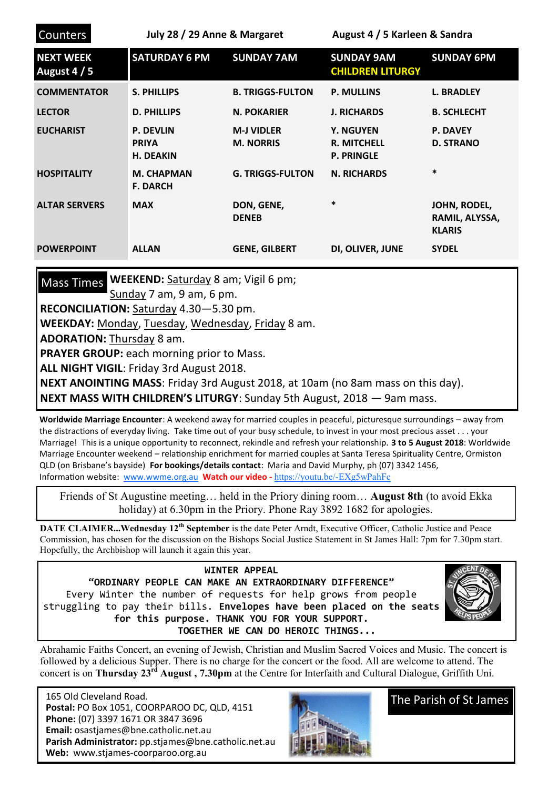| <b>Counters</b>                  | July 28 / 29 Anne & Margaret                         |                                       | August 4 / 5 Karleen & Sandra                               |                                                 |
|----------------------------------|------------------------------------------------------|---------------------------------------|-------------------------------------------------------------|-------------------------------------------------|
| <b>NEXT WEEK</b><br>August 4 / 5 | <b>SATURDAY 6 PM</b>                                 | <b>SUNDAY 7AM</b>                     | <b>SUNDAY 9AM</b><br><b>CHILDREN LITURGY</b>                | <b>SUNDAY 6PM</b>                               |
| <b>COMMENTATOR</b>               | <b>S. PHILLIPS</b>                                   | <b>B. TRIGGS-FULTON</b>               | <b>P. MULLINS</b>                                           | <b>L. BRADLEY</b>                               |
| <b>LECTOR</b>                    | <b>D. PHILLIPS</b>                                   | <b>N. POKARIER</b>                    | <b>J. RICHARDS</b>                                          | <b>B. SCHLECHT</b>                              |
| <b>EUCHARIST</b>                 | <b>P. DEVLIN</b><br><b>PRIYA</b><br><b>H. DEAKIN</b> | <b>M-J VIDLER</b><br><b>M. NORRIS</b> | <b>Y. NGUYEN</b><br><b>R. MITCHELL</b><br><b>P. PRINGLE</b> | <b>P. DAVEY</b><br><b>D. STRANO</b>             |
| <b>HOSPITALITY</b>               | <b>M. CHAPMAN</b><br><b>F. DARCH</b>                 | <b>G. TRIGGS-FULTON</b>               | <b>N. RICHARDS</b>                                          | *                                               |
| <b>ALTAR SERVERS</b>             | <b>MAX</b>                                           | DON, GENE,<br><b>DENEB</b>            | $\ast$                                                      | JOHN, RODEL,<br>RAMIL, ALYSSA,<br><b>KLARIS</b> |
| <b>POWERPOINT</b>                | <b>ALLAN</b>                                         | <b>GENE, GILBERT</b>                  | DI, OLIVER, JUNE                                            | <b>SYDEL</b>                                    |

Mass Times WEEKEND: Saturday 8 am; Vigil 6 pm;

Sunday 7 am, 9 am, 6 pm.

**RECONCILIATION:** Saturday 4.30—5.30 pm.

**WEEKDAY:** Monday, Tuesday, Wednesday, Friday 8 am.

**ADORATION:** Thursday 8 am.

**PRAYER GROUP:** each morning prior to Mass.

**ALL NIGHT VIGIL**: Friday 3rd August 2018.

**NEXT ANOINTING MASS**: Friday 3rd August 2018, at 10am (no 8am mass on this day). **NEXT MASS WITH CHILDREN'S LITURGY**: Sunday 5th August, 2018 — 9am mass.

**Worldwide Marriage Encounter**: A weekend away for married couples in peaceful, picturesque surroundings – away from the distractions of everyday living. Take time out of your busy schedule, to invest in your most precious asset . . . your Marriage! This is a unique opportunity to reconnect, rekindle and refresh your relationship. **3 to 5 August 2018**: Worldwide Marriage Encounter weekend – relationship enrichment for married couples at Santa Teresa Spirituality Centre, Ormiston QLD (on Brisbane's bayside) **For bookings/details contact**: Maria and David Murphy, ph (07) 3342 1456, Information website: [www.wwme.org.au](http://www.wwme.org.au) **Watch our video -** [https://youtu.be/](https://youtu.be/-EXg5wPahFc)-EXg5wPahFc

Friends of St Augustine meeting… held in the Priory dining room… **August 8th** (to avoid Ekka holiday) at 6.30pm in the Priory. Phone Ray 3892 1682 for apologies.

**DATE CLAIMER...Wednesday 12th September** is the date Peter Arndt, Executive Officer, Catholic Justice and Peace Commission, has chosen for the discussion on the Bishops Social Justice Statement in St James Hall: 7pm for 7.30pm start. Hopefully, the Archbishop will launch it again this year.

## **WINTER APPEAL**

**"ORDINARY PEOPLE CAN MAKE AN EXTRAORDINARY DIFFERENCE"** Every Winter the number of requests for help grows from people struggling to pay their bills. **Envelopes have been placed on the seats for this purpose. THANK YOU FOR YOUR SUPPORT. TOGETHER WE CAN DO HEROIC THINGS...**



Abrahamic Faiths Concert, an evening of Jewish, Christian and Muslim Sacred Voices and Music. The concert is followed by a delicious Supper. There is no charge for the concert or the food. All are welcome to attend. The concert is on **Thursday 23rd August , 7.30pm** at the Centre for Interfaith and Cultural Dialogue, Griffith Uni.

 165 Old Cleveland Road.  **Postal:** PO Box 1051, COORPAROO DC, QLD, 4151  **Phone:** (07) 3397 1671 OR 3847 3696 **Email:** osastjames@bne.catholic.net.au **Parish Administrator:** pp.stjames@bne.catholic.net.au **Web:** www.stjames-coorparoo.org.au



The Parish of St James